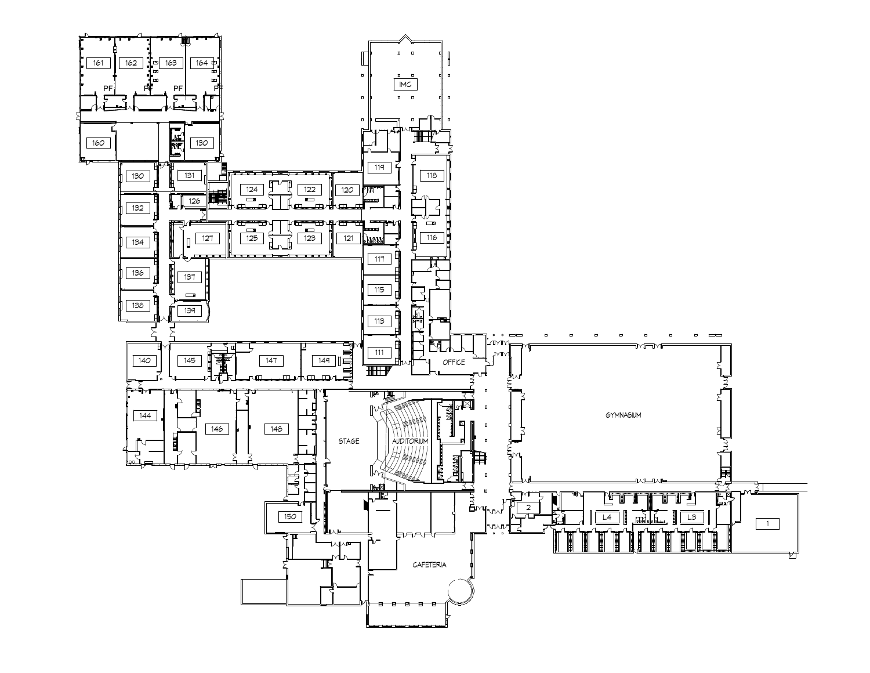